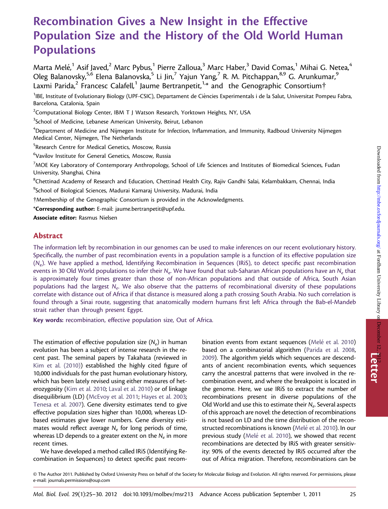# Recombination Gives a New Insight in the Effective Population Size and the History of the Old World Human Populations

Marta Melé, $^1$  Asif Javed, $^2$  Marc Pybus, $^1$  Pierre Zalloua, $^3$  Marc Haber, $^3$  David Comas, $^1$  Mihai G. Netea, $^4$ Oleg Balanovsky,<sup>5,6</sup> Elena Balanovska,<sup>5</sup> Li Jin,<sup>7</sup> Yajun Yang,<sup>7</sup> R. M. Pitchappan,<sup>8,9</sup> G. Arunkumar,<sup>9</sup> Laxmi Parida,<sup>2</sup> Francesc Calafell,<sup>1</sup> Jaume Bertranpetit,<sup>1,\*</sup> and the Genographic Consortium<sup>†</sup>

<sup>1</sup>IBE, Institute of Evolutionary Biology (UPF-CSIC), Departament de Ciències Experimentals i de la Salut, Universitat Pompeu Fabra, Barcelona, Catalonia, Spain

 $^2$ Computational Biology Center, IBM T J Watson Research, Yorktown Heights, NY, USA

<sup>3</sup>School of Medicine, Lebanese American University, Beirut, Lebanon

 $^4$ Department of Medicine and Nijmegen Institute for Infection, Inflammation, and Immunity, Radboud University Nijmegen Medical Center, Nijmegen, The Netherlands

<sup>5</sup>Research Centre for Medical Genetics, Moscow, Russia

<sup>6</sup>Vavilov Institute for General Genetics, Moscow, Russia

 $^7$ MOE Key Laboratory of Contemporary Anthropology, School of Life Sciences and Institutes of Biomedical Sciences, Fudan University, Shanghai, China

<sup>8</sup>Chettinad Academy of Research and Education, Chettinad Health City, Rajiv Gandhi Salai, Kelambakkam, Chennai, India

<sup>9</sup>School of Biological Sciences, Madurai Kamaraj University, Madurai, India

Membership of the Genographic Consortium is provided in the Acknowledgments.

\*Corresponding author: E-mail: jaume.bertranpetit@upf.edu.

Associate editor: Rasmus Nielsen

### Abstract

The information left by recombination in our genomes can be used to make inferences on our recent evolutionary history. Specifically, the number of past recombination events in a population sample is a function of its effective population size  $(N_e)$ . We have applied a method, Identifying Recombination in Sequences (IRiS), to detect specific past recombination events in 30 Old World populations to infer their  $N_e$ . We have found that sub-Saharan African populations have an  $N_e$  that is approximately four times greater than those of non-African populations and that outside of Africa, South Asian populations had the largest N<sub>e</sub>. We also observe that the patterns of recombinational diversity of these populations correlate with distance out of Africa if that distance is measured along a path crossing South Arabia. No such correlation is found through a Sinai route, suggesting that anatomically modern humans first left Africa through the Bab-el-Mandeb strait rather than through present Egypt.

Key words: recombination, effective population size, Out of Africa.

The estimation of effective population size  $(N_e)$  in human evolution has been a subject of intense research in the recent past. The seminal papers by Takahata (reviewed in [Kim et al. \(2010\)\)](#page-4-0) established the highly cited figure of 10,000 individuals for the past human evolutionary history, which has been lately revised using either measures of heterozygosity [\(Kim et al. 2010](#page-4-0); [Laval et al. 2010\)](#page-4-0) or of linkage disequilibrium (LD) ([McEvoy et al. 2011](#page-4-0); [Hayes et al. 2003](#page-4-0); [Tenesa et al. 2007](#page-5-0)). Gene diversity estimates tend to give effective population sizes higher than 10,000, whereas LDbased estimates give lower numbers. Gene diversity estimates would reflect average  $N_e$  for long periods of time, whereas LD depends to a greater extent on the  $N_e$  in more recent times.

We have developed a method called IRiS (Identifying Recombination in Sequences) to detect specific past recombination events from extant sequences (Melé [et al. 2010\)](#page-5-0) based on a combinatorial algorithm ([Parida et al. 2008](#page-5-0), [2009](#page-5-0)). The algorithm yields which sequences are descendants of ancient recombination events, which sequences carry the ancestral patterns that were involved in the recombination event, and where the breakpoint is located in the genome. Here, we use IRiS to extract the number of recombinations present in diverse populations of the Old World and use this to estimate their  $N_e$ . Several aspects of this approach are novel: the detection of recombinations is not based on LD and the time distribution of the reconstructed recombinations is known (Melé [et al. 2010\)](#page-5-0). In our previous study (Melé [et al. 2010\)](#page-5-0), we showed that recent recombinations are detected by IRiS with greater sensitivity: 90% of the events detected by IRiS occurred after the out of Africa migration. Therefore, recombinations can be

© The Author 2011. Published by Oxford University Press on behalf of the Society for Molecular Biology and Evolution. All rights reserved. For permissions, please e-mail: journals.permissions@oup.com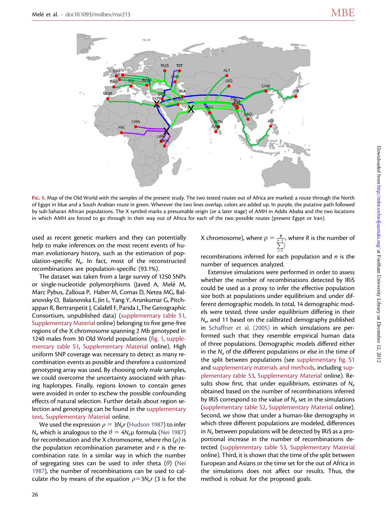

FIG. 1. Map of the Old World with the samples of the present study. The two tested routes out of Africa are marked: a route through the North of Egypt in blue and a South Arabian route in green. Wherever the two lines overlap, colors are added up. In purple, the putative path followed by sub-Saharan African populations. The X symbol marks a presumable origin (or a later stage) of AMH in Addis Ababa and the two locations in which AMH are forced to go through in their way out of Africa for each of the two possible routes (present Egypt or Iran).

used as recent genetic markers and they can potentially help to make inferences on the most recent events of human evolutionary history, such as the estimation of population-specific  $N_e$ . In fact, most of the reconstructed recombinations are population-specific (93.1%).

The dataset was taken from a large survey of 1250 SNPs or single-nucleotide polymorphisms (Javed A, Melé M, Marc Pybus, Zalloua P, Haber M, Comas D, Netea MG, Balanovsky O, Balanovska E, Jin L, Yang Y, Arunkumar G, Pitchappan R, Bertranpetit J, Calafell F, Parida L,The Genographic Consortium, unpublished data) ([supplementary table S1](http://mbe.oxfordjournals.org/cgi/content/full/msr213/DC1), [Supplementary Material](http://mbe.oxfordjournals.org/cgi/content/full/msr213/DC1) online) belonging to five gene-free regions of the X chromosome spanning 2 Mb genotyped in 1240 males from 30 Old World populations (fig. 1, [supple](http://mbe.oxfordjournals.org/cgi/content/full/msr213/DC1)[mentary table S1](http://mbe.oxfordjournals.org/cgi/content/full/msr213/DC1), [Supplementary Material](http://mbe.oxfordjournals.org/cgi/content/full/msr213/DC1) online). High uniform SNP coverage was necessary to detect as many recombination events as possible and therefore a customized genotyping array was used. By choosing only male samples, we could overcome the uncertainty associated with phasing haplotypes. Finally, regions known to contain genes were avoided in order to eschew the possible confounding effects of natural selection. Further details about region selection and genotyping can be found in the [supplementary](http://mbe.oxfordjournals.org/cgi/content/full/msr213/DC1) [text](http://mbe.oxfordjournals.org/cgi/content/full/msr213/DC1), [Supplementary Material](http://mbe.oxfordjournals.org/cgi/content/full/msr213/DC1) online.

We used the expression  $\rho = 3N_e r$  ([Hudson 1987\)](#page-4-0) to infer  $N_e$  which is analogous to the  $\theta = 4N_e\mu$  formula [\(Nei 1987\)](#page-5-0) for recombination and the X chromosome, where rho  $(\rho)$  is the population recombination parameter and  $r$  is the recombination rate. In a similar way in which the number of segregating sites can be used to infer theta  $(\theta)$  ([Nei](#page-5-0) [1987](#page-5-0)), the number of recombinations can be used to calculate rho by means of the equation  $\rho=3N_e r$  (3 is for the

X chromosome), where  $\rho = \frac{R}{n-1}$ , where R is the number of  $i=1$ i

recombinations inferred for each population and  $n$  is the number of sequences analyzed.

Extensive simulations were performed in order to assess whether the number of recombinations detected by IRiS could be used as a proxy to infer the effective population size both at populations under equilibrium and under different demographic models. In total, 14 demographic models were tested, three under equilibrium differing in their  $N_e$ , and 11 based on the calibrated demography published in [Schaffner et al. \(2005\)](#page-5-0) in which simulations are performed such that they resemble empirical human data of three populations. Demographic models differed either in the  $N_e$  of the different populations or else in the time of the split between populations (see [supplementary fig. S1](http://mbe.oxfordjournals.org/cgi/content/full/msr213/DC1) and [supplementary materials and methods](http://mbe.oxfordjournals.org/cgi/content/full/msr213/DC1), including [sup](http://mbe.oxfordjournals.org/cgi/content/full/msr213/DC1)[plementary table S3](http://mbe.oxfordjournals.org/cgi/content/full/msr213/DC1), [Supplementary Material](http://mbe.oxfordjournals.org/cgi/content/full/msr213/DC1) online). Results show first, that under equilibrium, estimates of  $N_e$ obtained based on the number of recombinations inferred by IRiS correspond to the value of  $N_e$  set in the simulations ([supplementary table S2,](http://mbe.oxfordjournals.org/cgi/content/full/msr213/DC1) [Supplementary Material](http://mbe.oxfordjournals.org/cgi/content/full/msr213/DC1) online). Second, we show that under a human-like demography in which three different populations are modeled, differences in  $N_e$  between populations will be detected by IRiS as a proportional increase in the number of recombinations detected [\(supplementary table S3](http://mbe.oxfordjournals.org/cgi/content/full/msr213/DC1), [Supplementary Material](http://mbe.oxfordjournals.org/cgi/content/full/msr213/DC1) online). Third, it is shown that the time of the split between European and Asians or the time set for the out of Africa in the simulations does not affect our results. Thus, the method is robust for the proposed goals.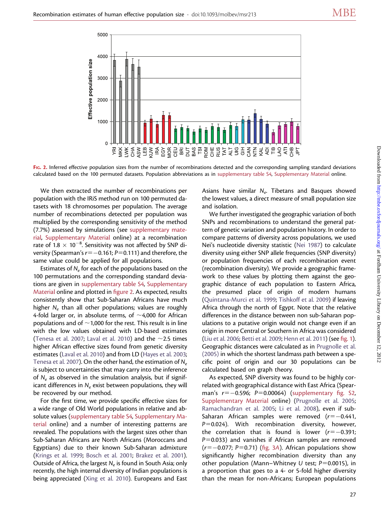

FIG. 2. Inferred effective population sizes from the number of recombinations detected and the corresponding sampling standard deviations calculated based on the 100 permuted datasets. Population abbreviations as in [supplementary table S4,](http://mbe.oxfordjournals.org/cgi/content/full/msr213/DC1) [Supplementary Material](http://mbe.oxfordjournals.org/cgi/content/full/msr213/DC1) online.

We then extracted the number of recombinations per population with the IRiS method run on 100 permuted datasets with 18 chromosomes per population. The average number of recombinations detected per population was multiplied by the corresponding sensitivity of the method (7.7%) assessed by simulations (see [supplementary mate](http://mbe.oxfordjournals.org/cgi/content/full/msr213/DC1)[rial](http://mbe.oxfordjournals.org/cgi/content/full/msr213/DC1), [Supplementary Material](http://mbe.oxfordjournals.org/cgi/content/full/msr213/DC1) online) at a recombination rate of 1.8  $\times$  10 $^{-8}$ . Sensitivity was not affected by SNP diversity (Spearman's  $r=-0.161; P=0.111$ ) and therefore, the same value could be applied for all populations.

Estimates of  $N_e$  for each of the populations based on the 100 permutations and the corresponding standard deviations are given in [supplementary table S4,](http://mbe.oxfordjournals.org/cgi/content/full/msr213/DC1) [Supplementary](http://mbe.oxfordjournals.org/cgi/content/full/msr213/DC1) [Material](http://mbe.oxfordjournals.org/cgi/content/full/msr213/DC1) online and plotted in figure 2. As expected, results consistently show that Sub-Saharan Africans have much higher  $N_e$  than all other populations; values are roughly 4-fold larger or, in absolute terms, of  $\sim$ 4,000 for African populations and of  $\sim$ 1,000 for the rest. This result is in line with the low values obtained with LD-based estimates [\(Tenesa et al. 2007](#page-5-0); [Laval et al. 2010\)](#page-4-0) and the  $\sim$ 2.5 times higher African effective sizes found from genetic diversity estimates ([Laval et al. 2010](#page-4-0)) and from LD [\(Hayes et al. 2003](#page-4-0); [Tenesa et al. 2007](#page-5-0)). On the other hand, the estimation of  $N_e$ is subject to uncertainties that may carry into the inference of  $N_e$  as observed in the simulation analysis, but if significant differences in  $N_e$  exist between populations, they will be recovered by our method.

For the first time, we provide specific effective sizes for a wide range of Old World populations in relative and absolute values [\(supplementary table S4,](http://mbe.oxfordjournals.org/cgi/content/full/msr213/DC1) [Supplementary Ma](http://mbe.oxfordjournals.org/cgi/content/full/msr213/DC1)[terial](http://mbe.oxfordjournals.org/cgi/content/full/msr213/DC1) online) and a number of interesting patterns are revealed. The populations with the largest sizes other than Sub-Saharan Africans are North Africans (Moroccans and Egyptians) due to their known Sub-Saharan admixture [\(Krings et al. 1999;](#page-4-0) [Bosch et al. 2001](#page-4-0); [Brakez et al. 2001\)](#page-4-0). Outside of Africa, the largest  $N_e$  is found in South Asia; only recently, the high internal diversity of Indian populations is being appreciated ([Xing et al. 2010\)](#page-5-0). Europeans and East

Asians have similar  $N_e$ . Tibetans and Basques showed the lowest values, a direct measure of small population size and isolation.

We further investigated the geographic variation of both SNPs and recombinations to understand the general pattern of genetic variation and population history. In order to compare patterns of diversity across populations, we used Nei's nucleotide diversity statistic ([Nei 1987](#page-5-0)) to calculate diversity using either SNP allele frequencies (SNP diversity) or population frequencies of each recombination event (recombination diversity). We provide a geographic framework to these values by plotting them against the geographic distance of each population to Eastern Africa, the presumed place of origin of modern humans [\(Quintana-Murci et al. 1999](#page-5-0); [Tishkoff et al. 2009](#page-5-0)) if leaving Africa through the north of Egypt. Note that the relative differences in the distance between non sub-Saharan populations to a putative origin would not change even if an origin in more Central or Southern in Africa was considered [\(Liu et al. 2006](#page-4-0); [Betti et al. 2009;](#page-4-0) [Henn et al. 2011](#page-4-0)) (see fig. 1). Geographic distances were calculated as in [Prugnolle et al.](#page-5-0) [\(2005\)](#page-5-0) in which the shortest landmass path between a specific point of origin and our 30 populations can be calculated based on graph theory.

As expected, SNP diversity was found to be highly correlated with geographical distance with East Africa (Spearman's  $r=-0.596$ ; P=0.00064) ([supplementary fig. S2](http://mbe.oxfordjournals.org/cgi/content/full/msr213/DC1), [Supplementary Material](http://mbe.oxfordjournals.org/cgi/content/full/msr213/DC1) online) [\(Prugnolle et al. 2005](#page-5-0); [Ramachandran et al. 2005](#page-5-0); [Li et al. 2008](#page-4-0)), even if sub-Saharan African samples were removed  $(r=-0.441,$  $P=0.024$ ). With recombination diversity, however, the correlation that is found is lower  $(r=-0.391;$  $P=0.033$ ) and vanishes if African samples are removed  $(r=-0.077; P=0.71)$  (fig. 3A). African populations show significantly higher recombination diversity than any other population (Mann–Whitney U test;  $P=0.0015$ ), in a proportion that goes to a 4- or 5-fold higher diversity than the mean for non-Africans; European populations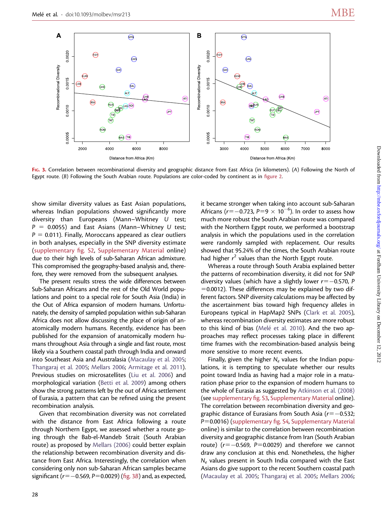

FIG. 3. Correlation between recombinational diversity and geographic distance from East Africa (in kilometers). (A) Following the North of Egypt route. (B) Following the South Arabian route. Populations are color-coded by continent as in figure 2.

show similar diversity values as East Asian populations, whereas Indian populations showed significantly more diversity than Europeans (Mann–Whitney U test;  $P = 0.0055$ ) and East Asians (Mann–Whitney U test;  $P = 0.011$ ). Finally, Moroccans appeared as clear outliers in both analyses, especially in the SNP diversity estimate ([supplementary fig. S2](http://mbe.oxfordjournals.org/cgi/content/full/msr213/DC1), [Supplementary Material](http://mbe.oxfordjournals.org/cgi/content/full/msr213/DC1) online) due to their high levels of sub-Saharan African admixture. This compromised the geography-based analysis and, therefore, they were removed from the subsequent analyses.

The present results stress the wide differences between Sub-Saharan Africans and the rest of the Old World populations and point to a special role for South Asia (India) in the Out of Africa expansion of modern humans. Unfortunately, the density of sampled population within sub-Saharan Africa does not allow discussing the place of origin of anatomically modern humans. Recently, evidence has been published for the expansion of anatomically modern humans throughout Asia through a single and fast route, most likely via a Southern coastal path through India and onward into Southeast Asia and Australasia [\(Macaulay et al. 2005](#page-4-0); [Thangaraj et al. 2005;](#page-5-0) [Mellars 2006;](#page-5-0) [Armitage et al. 2011](#page-4-0)). Previous studies on microsatellites ([Liu et al. 2006](#page-4-0)) and morphological variation [\(Betti et al. 2009\)](#page-4-0) among others show the strong patterns left by the out of Africa settlement of Eurasia, a pattern that can be refined using the present recombination analysis.

Given that recombination diversity was not correlated with the distance from East Africa following a route through Northern Egypt, we assessed whether a route going through the Bab-el-Mandeb Strait (South Arabian route) as proposed by [Mellars \(2006\)](#page-5-0) could better explain the relationship between recombination diversity and distance from East Africa. Interestingly, the correlation when considering only non sub-Saharan African samples became significant ( $r=-0.569$ ,  $P=0.0029$ ) (fig. 3B) and, as expected,

it became stronger when taking into account sub-Saharan Africans (r= $-0.723$ , P=9  $\times$  10 $^{-6}$ ). In order to assess how much more robust the South Arabian route was compared with the Northern Egypt route, we performed a bootstrap analysis in which the populations used in the correlation were randomly sampled with replacement. Our results showed that 95.24% of the times, the South Arabian route had higher  $r^2$  values than the North Egypt route.

Whereas a route through South Arabia explained better the patterns of recombination diversity, it did not for SNP diversity values (which have a slightly lower  $r=-0.570$ , P  $=0.0012$ ). These differences may be explained by two different factors. SNP diversity calculations may be affected by the ascertainment bias toward high frequency alleles in Europeans typical in HapMap2 SNPs ([Clark et al. 2005](#page-4-0)), whereas recombination diversity estimates are more robust to this kind of bias (Melé [et al. 2010\)](#page-5-0). And the two approaches may reflect processes taking place in different time frames with the recombination-based analysis being more sensitive to more recent events.

Finally, given the higher  $N_e$  values for the Indian populations, it is tempting to speculate whether our results point toward India as having had a major role in a maturation phase prior to the expansion of modern humans to the whole of Eurasia as suggested by [Atkinson et al. \(2008\)](#page-4-0) (see [supplementary fig. S3](http://mbe.oxfordjournals.org/cgi/content/full/msr213/DC1), [Supplementary Material](http://mbe.oxfordjournals.org/cgi/content/full/msr213/DC1) online). The correlation between recombination diversity and geographic distance of Eurasians from South Asia ( $r=-0.532$ ;  $P=0.0016$ ) ([supplementary fig. S4,](http://mbe.oxfordjournals.org/cgi/content/full/msr213/DC1) [Supplementary Material](http://mbe.oxfordjournals.org/cgi/content/full/msr213/DC1) online) is similar to the correlation between recombination diversity and geographic distance from Iran (South Arabian route) ( $r=-0.569$ , P=0.0029) and therefore we cannot draw any conclusion at this end. Nonetheless, the higher  $N_e$  values present in South India compared with the East Asians do give support to the recent Southern coastal path ([Macaulay et al. 2005](#page-4-0); [Thangaraj et al. 2005;](#page-5-0) [Mellars 2006](#page-5-0);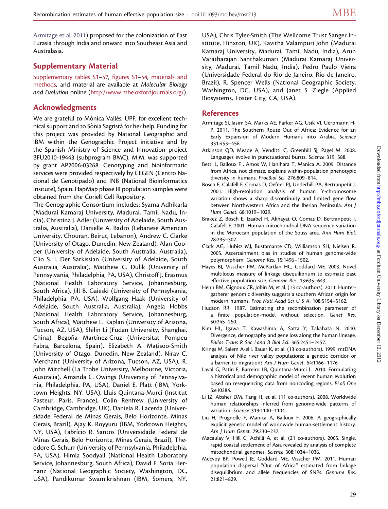<span id="page-4-0"></span>Armitage et al. 2011) proposed for the colonization of East Eurasia through India and onward into Southeast Asia and Australasia.

## Supplementary Material

[Supplementary tables S1–S7](http://mbe.oxfordjournals.org/cgi/content/full/msr213/DC1), [figures S1–S4](http://mbe.oxfordjournals.org/cgi/content/full/msr213/DC1), [materials and](http://mbe.oxfordjournals.org/cgi/content/full/msr213/DC1) [methods](http://mbe.oxfordjournals.org/cgi/content/full/msr213/DC1), and material are available at Molecular Biology and Evolution online [\(http://www.mbe.oxfordjournals.org/\)](http://www.mbe.oxfordjournals.org/).

## Acknowledgments

We are grateful to Mònica Vallés, UPF, for excellent technical support and to Sònia Sagristà for her help. Funding for this project was provided by National Geographic and IBM within the Genographic Project initiative and by the Spanish Ministry of Science and Innovation project BFU2010-19443 (subprogram BMC). M.M. was supported by grant AP2006-03268. Genotyping and bioinformatic services were provided respectively by CEGEN (Centro Nacional de Genotipado) and INB (National Bioinformatics Insitute), Spain. HapMap phase III population samples were obtained from the Coriell Cell Repository.

The Genographic Consortium includes: Syama Adhikarla (Madurai Kamaraj University, Madurai, Tamil Nadu, India), Christina J. Adler (University of Adelaide, South Australia, Australia), Danielle A. Badro (Lebanese American University, Chouran, Beirut, Lebanon), Andrew C. Clarke (University of Otago, Dunedin, New Zealand), Alan Cooper (University of Adelaide, South Australia, Australia), Clio S. I. Der Sarkissian (University of Adelaide, South Australia, Australia), Matthew C. Dulik (University of Pennsylvania, Philadelphia, PA, USA), Christoff J. Erasmus (National Health Laboratory Service, Johannesburg, South Africa), Jill B. Gaieski (University of Pennsylvania, Philadelphia, PA, USA), Wolfgang Haak (University of Adelaide, South Australia, Australia), Angela Hobbs (National Health Laboratory Service, Johannesburg, South Africa), Matthew E. Kaplan (University of Arizona, Tucson, AZ, USA), Shilin Li (Fudan University, Shanghai, China), Begoña Martínez-Cruz (Universitat Pompeu Fabra, Barcelona, Spain), Elizabeth A. Matisoo-Smith (University of Otago, Dunedin, New Zealand), Nirav C. Merchant (University of Arizona, Tucson, AZ, USA), R. John Mitchell (La Trobe University, Melbourne, Victoria, Australia), Amanda C. Owings (University of Pennsylvania, Philadelphia, PA, USA), Daniel E. Platt (IBM, Yorktown Heights, NY, USA), Lluis Quintana-Murci (Institut Pasteur, Paris, France), Colin Renfrew (University of Cambridge, Cambridge, UK), Daniela R. Lacerda (Universidade Federal de Minas Gerais, Belo Horizonte, Minas Gerais, Brazil), Ajay K. Royyuru (IBM, Yorktown Heights, NY, USA), Fabrı´cio R. Santos (Universidade Federal de Minas Gerais, Belo Horizonte, Minas Gerais, Brazil), Theodore G. Schurr (University of Pennsylvania, Philadelphia, PA, USA), Himla Soodyall (National Health Laboratory Service, Johannesburg, South Africa), David F. Soria Hernanz (National Geographic Society, Washington, DC, USA), Pandikumar Swamikrishnan (IBM, Somers, NY,

USA), Chris Tyler-Smith (The Wellcome Trust Sanger Institute, Hinxton, UK), Kavitha Valampuri John (Madurai Kamaraj University, Madurai, Tamil Nadu, India), Arun Varatharajan Santhakumari (Madurai Kamaraj University, Madurai, Tamil Nadu, India), Pedro Paulo Vieira (Universidade Federal do Rio de Janeiro, Rio de Janeiro, Brazil), R. Spencer Wells (National Geographic Society, Washington, DC, USA), and Janet S. Ziegle (Applied Biosystems, Foster City, CA, USA).

### References

- Armitage SJ, Jasim SA, Marks AE, Parker AG, Usik VI, Uerpmann H-P. 2011. The Southern Route Out of Africa: Evidence for an Early Expansion of Modern Humans into Arabia. Science 331:453–456.
- Atkinson QD, Meade A, Venditti C, Greenhill SJ, Pagel M. 2008. Languages evolve in punctuational bursts. Science 319: 588.
- Betti L, Balloux F , Amos W, Hanihara T, Manica A. 2009. Distance from Africa, not climate, explains within-population phenotypic diversity in humans. ProcBiol Sci. 276:809–814.
- Bosch E, Calafell F, Comas D, Oefner PJ, Underhill PA, Bertranpetit J. 2001. High-resolution analysis of human Y-chromosome variation shows a sharp discontinuity and limited gene flow between Northwestern Africa and the Iberian Peninsula. Am J Hum Genet. 68:1019–1029.
- Brakez Z, Bosch E, Izaabel H, Akhayat O, Comas D, Bertranpetit J, Calafell F. 2001. Human mitochondrial DNA sequence variation in the Moroccan population of the Souss area. Ann Hum Biol. 28:295–307.
- Clark AG, Hubisz MJ, Bustamante CD, Williamson SH, Nielsen R. 2005. Ascertainment bias in studies of human genome-wide polymorphism. Genome Res. 15:1496–1502.
- Hayes BJ, Visscher PM, McPartlan HC, Goddard ME. 2003. Novel multilocus measure of linkage disequilibrium to estimate past effective population size. Genome Res. 13:635–643.
- Henn BM, Gignoux CR, Jobin M, et al. (13 co-authors). 2011. Huntergatherer genomic diversity suggests a southern African origin for modern humans. Proc Natl Acad Sci U S A. 108:5154–5162.
- Hudson RR. 1987. Estimating the recombination parameter of a finite population-model without selection. Genet Res. 50:245–250.
- Kim HL, Igawa T, Kawashima A, Satta Y, Takahata N. 2010. Divergence, demography and gene loss along the human lineage. Philos Trans R Soc Lond B Biol Sci. 365:2451–2457.
- Krings M, Salem A-eH, Bauer K, et al. (13 co-authors). 1999. mtDNA analysis of Nile river valley populations: a genetic corridor or a barrier to migration? Am J Hum Genet. 64:1166–1176.
- Laval G, Patin E, Barreiro LB, Quintana-Murci L. 2010. Formulating a historical and demographic model of recent human evolution based on resequencing data from noncoding regions. PLoS One 5:e10284.
- Li JZ, Absher DM, Tang H, et al. (11 co-authors). 2008. Worldwide human relationships inferred from genome-wide patterns of variation. Science 319:1100–1104.
- Liu H, Prugnolle F, Manica A, Balloux F. 2006. A geographically explicit genetic model of worldwide human-settlement history. Am J Hum Genet. 79:230–237.
- Macaulay V, Hill C, Achilli A, et al. (21 co-authors). 2005. Single, rapid coastal settlement of Asia revealed by analysis of complete mitochondrial genomes. Science 308:1034–1036.
- McEvoy BP, Powell JE, Goddard ME, Visscher PM. 2011. Human population dispersal ''Out of Africa'' estimated from linkage disequilibrium and allele frequencies of SNPs. Genome Res. 21:821–829.